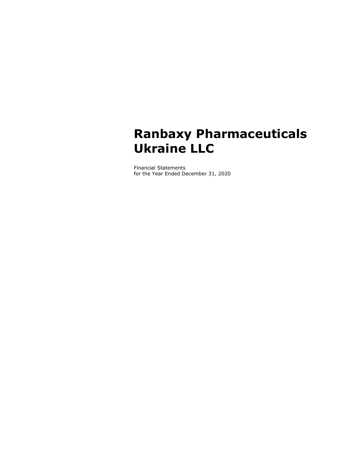# Ranbaxy Pharmaceuticals Ukraine LLC

Financial Statements for the Year Ended December 31, 2020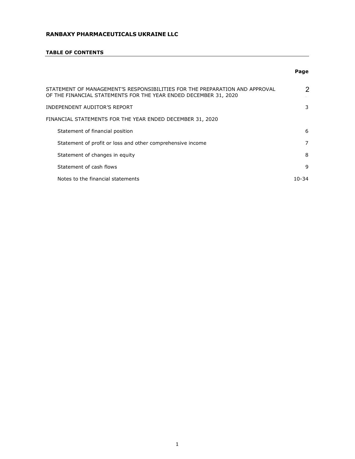# TABLE OF CONTENTS

# Page

| STATEMENT OF MANAGEMENT'S RESPONSIBILITIES FOR THE PREPARATION AND APPROVAL<br>OF THE FINANCIAL STATEMENTS FOR THE YEAR ENDED DECEMBER 31, 2020 | 2     |
|-------------------------------------------------------------------------------------------------------------------------------------------------|-------|
| INDEPENDENT AUDITOR'S REPORT                                                                                                                    | 3     |
| FINANCIAL STATEMENTS FOR THE YEAR ENDED DECEMBER 31, 2020                                                                                       |       |
| Statement of financial position                                                                                                                 | 6     |
| Statement of profit or loss and other comprehensive income                                                                                      | 7     |
| Statement of changes in equity                                                                                                                  | 8     |
| Statement of cash flows                                                                                                                         | 9     |
| Notes to the financial statements                                                                                                               | 10-34 |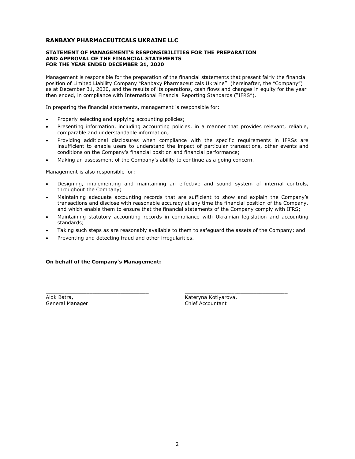#### STATEMENT OF MANAGEMENT'S RESPONSIBILITIES FOR THE PREPARATION AND APPROVAL OF THE FINANCIAL STATEMENTS FOR THE YEAR ENDED DECEMBER 31, 2020

Management is responsible for the preparation of the financial statements that present fairly the financial position of Limited Liability Company "Ranbaxy Pharmaceuticals Ukraine" (hereinafter, the "Company") as at December 31, 2020, and the results of its operations, cash flows and changes in equity for the year then ended, in compliance with International Financial Reporting Standards ("IFRS").

In preparing the financial statements, management is responsible for:

- Properly selecting and applying accounting policies;
- Presenting information, including accounting policies, in a manner that provides relevant, reliable, comparable and understandable information;
- Providing additional disclosures when compliance with the specific requirements in IFRSs are insufficient to enable users to understand the impact of particular transactions, other events and conditions on the Company's financial position and financial performance;
- Making an assessment of the Company's ability to continue as a going concern.

Management is also responsible for:

- Designing, implementing and maintaining an effective and sound system of internal controls, throughout the Company;
- Maintaining adequate accounting records that are sufficient to show and explain the Company's transactions and disclose with reasonable accuracy at any time the financial position of the Company, and which enable them to ensure that the financial statements of the Company comply with IFRS;
- Maintaining statutory accounting records in compliance with Ukrainian legislation and accounting standards;
- Taking such steps as are reasonably available to them to safeguard the assets of the Company; and

\_\_\_\_\_\_\_\_\_\_\_\_\_\_\_\_\_\_\_\_\_\_\_\_\_\_\_\_\_\_\_\_\_ \_\_\_\_\_\_\_\_\_\_\_\_\_\_\_\_\_\_\_\_\_\_\_\_\_\_\_\_\_\_\_\_\_

Preventing and detecting fraud and other irregularities.

# On behalf of the Company's Management:

General Manager

Alok Batra, Kateryna Kotlyarova, Kateryna Kotlyarova, Kateryna Kotlyarova, Kateryna Kotlyarova, Kateryna Kotlyarova,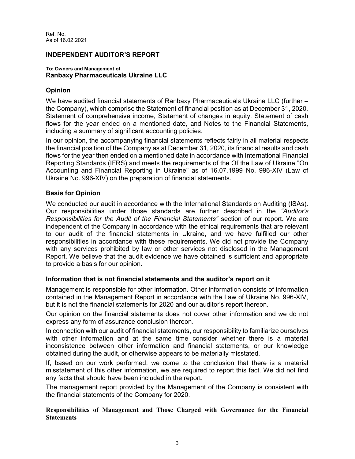Ref. No. As of 16.02.2021

# INDEPENDENT AUDITOR'S REPORT

# To: Owners and Management of Ranbaxy Pharmaceuticals Ukraine LLC

# Opinion

We have audited financial statements of Ranbaxy Pharmaceuticals Ukraine LLC (further – the Company), which comprise the Statement of financial position as at December 31, 2020, Statement of comprehensive income, Statement of changes in equity, Statement of cash flows for the year ended on a mentioned date, and Notes to the Financial Statements, including a summary of significant accounting policies.

In our opinion, the accompanying financial statements reflects fairly in all material respects the financial position of the Company as at December 31, 2020, its financial results and cash flows for the year then ended on a mentioned date in accordance with International Financial Reporting Standards (IFRS) and meets the requirements of the Of the Law of Ukraine "On Accounting and Financial Reporting in Ukraine" as of 16.07.1999 No. 996-XIV (Law of Ukraine No. 996-XIV) on the preparation of financial statements.

# Basis for Opinion

We conducted our audit in accordance with the International Standards on Auditing (ISAs). Our responsibilities under those standards are further described in the "Auditor's Responsibilities for the Audit of the Financial Statements" section of our report. We are independent of the Company in accordance with the ethical requirements that are relevant to our audit of the financial statements in Ukraine, and we have fulfilled our other responsibilities in accordance with these requirements. We did not provide the Company with any services prohibited by law or other services not disclosed in the Management Report. We believe that the audit evidence we have obtained is sufficient and appropriate to provide a basis for our opinion.

# Information that is not financial statements and the auditor's report on it

Management is responsible for other information. Other information consists of information contained in the Management Report in accordance with the Law of Ukraine No. 996-XIV, but it is not the financial statements for 2020 and our auditor's report thereon.

Our opinion on the financial statements does not cover other information and we do not express any form of assurance conclusion thereon.

In connection with our audit of financial statements, our responsibility to familiarize ourselves with other information and at the same time consider whether there is a material inconsistence between other information and financial statements, or our knowledge obtained during the audit, or otherwise appears to be materially misstated.

If, based on our work performed, we come to the conclusion that there is a material misstatement of this other information, we are required to report this fact. We did not find any facts that should have been included in the report.

The management report provided by the Management of the Company is consistent with the financial statements of the Company for 2020.

Responsibilities of Management and Those Charged with Governance for the Financial **Statements**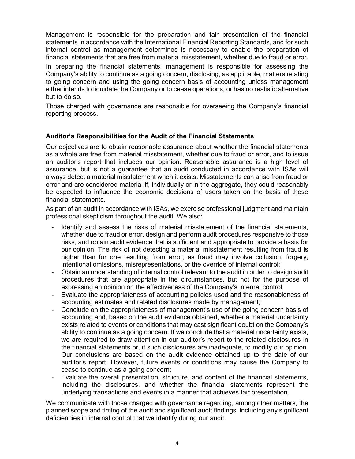Management is responsible for the preparation and fair presentation of the financial statements in accordance with the International Financial Reporting Standards, and for such internal control as management determines is necessary to enable the preparation of financial statements that are free from material misstatement, whether due to fraud or error.

In preparing the financial statements, management is responsible for assessing the Company's ability to continue as a going concern, disclosing, as applicable, matters relating to going concern and using the going concern basis of accounting unless management either intends to liquidate the Company or to cease operations, or has no realistic alternative but to do so.

Those charged with governance are responsible for overseeing the Company's financial reporting process.

# Auditor's Responsibilities for the Audit of the Financial Statements

Our objectives are to obtain reasonable assurance about whether the financial statements as a whole are free from material misstatement, whether due to fraud or error, and to issue an auditor's report that includes our opinion. Reasonable assurance is a high level of assurance, but is not a guarantee that an audit conducted in accordance with ISAs will always detect a material misstatement when it exists. Misstatements can arise from fraud or error and are considered material if, individually or in the aggregate, they could reasonably be expected to influence the economic decisions of users taken on the basis of these financial statements.

As part of an audit in accordance with ISAs, we exercise professional judgment and maintain professional skepticism throughout the audit. We also:

- Identify and assess the risks of material misstatement of the financial statements, whether due to fraud or error, design and perform audit procedures responsive to those risks, and obtain audit evidence that is sufficient and appropriate to provide a basis for our opinion. The risk of not detecting a material misstatement resulting from fraud is higher than for one resulting from error, as fraud may involve collusion, forgery, intentional omissions, misrepresentations, or the override of internal control;
- Obtain an understanding of internal control relevant to the audit in order to design audit procedures that are appropriate in the circumstances, but not for the purpose of expressing an opinion on the effectiveness of the Company's internal control;
- Evaluate the appropriateness of accounting policies used and the reasonableness of accounting estimates and related disclosures made by management;
- Conclude on the appropriateness of management's use of the going concern basis of accounting and, based on the audit evidence obtained, whether a material uncertainty exists related to events or conditions that may cast significant doubt on the Company's ability to continue as a going concern. If we conclude that a material uncertainty exists, we are required to draw attention in our auditor's report to the related disclosures in the financial statements or, if such disclosures are inadequate, to modify our opinion. Our conclusions are based on the audit evidence obtained up to the date of our auditor's report. However, future events or conditions may cause the Company to cease to continue as a going concern;
- Evaluate the overall presentation, structure, and content of the financial statements, including the disclosures, and whether the financial statements represent the underlying transactions and events in a manner that achieves fair presentation.

We communicate with those charged with governance regarding, among other matters, the planned scope and timing of the audit and significant audit findings, including any significant deficiencies in internal control that we identify during our audit.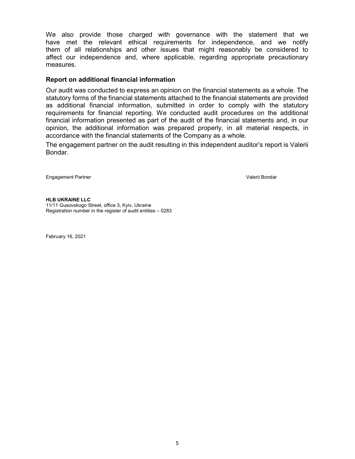We also provide those charged with governance with the statement that we have met the relevant ethical requirements for independence, and we notify them of all relationships and other issues that might reasonably be considered to affect our independence and, where applicable, regarding appropriate precautionary measures.

# Report on additional financial information

Our audit was conducted to express an opinion on the financial statements as a whole. The statutory forms of the financial statements attached to the financial statements are provided as additional financial information, submitted in order to comply with the statutory requirements for financial reporting. We conducted audit procedures on the additional financial information presented as part of the audit of the financial statements and, in our opinion, the additional information was prepared properly, in all material respects, in accordance with the financial statements of the Company as a whole.

The engagement partner on the audit resulting in this independent auditor's report is Valerii Bondar.

Engagement Partner Valerii Bondar

HLB UKRAINE LLC 11/11 Gusovskogo Street, office 3, Kyiv, Ukraine Registration number in the register of audit entities – 0283

February 16, 2021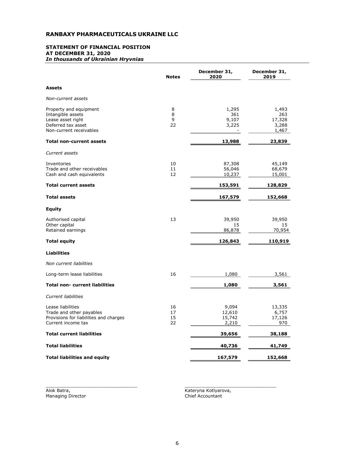#### STATEMENT OF FINANCIAL POSITION AT DECEMBER 31, 2020 In thousands of Ukrainian Hryvnias

|                                                                                                                   | <b>Notes</b>         | December 31,<br>2020               | December 31,<br>2019                     |
|-------------------------------------------------------------------------------------------------------------------|----------------------|------------------------------------|------------------------------------------|
| Assets                                                                                                            |                      |                                    |                                          |
| Non-current assets                                                                                                |                      |                                    |                                          |
| Property and equipment<br>Intangible assets<br>Lease asset right<br>Deferred tax asset<br>Non-current receivables | 8<br>8<br>9<br>22    | 1,295<br>361<br>9,107<br>3,225     | 1,493<br>263<br>17,328<br>3,288<br>1,467 |
| <b>Total non-current assets</b>                                                                                   |                      | 13,988                             | 23,839                                   |
| Current assets                                                                                                    |                      |                                    |                                          |
| Inventories<br>Trade and other receivables<br>Cash and cash equivalents                                           | 10<br>11<br>12       | 87,308<br>56,046<br>10,237         | 45,149<br>68,679<br>15,001               |
| <b>Total current assets</b>                                                                                       |                      | 153,591                            | 128,829                                  |
| <b>Total assets</b>                                                                                               |                      | 167,579                            | 152,668                                  |
| <b>Equity</b>                                                                                                     |                      |                                    |                                          |
| Authorised capital<br>Other capital<br>Retained earnings                                                          | 13                   | 39,950<br>15<br>86,878             | 39,950<br>15<br>70,954                   |
| <b>Total equity</b>                                                                                               |                      | 126,843                            | 110,919                                  |
| <b>Liabilities</b>                                                                                                |                      |                                    |                                          |
| Non current liabilities                                                                                           |                      |                                    |                                          |
| Long-term lease liabilities                                                                                       | 16                   | 1,080                              | 3,561                                    |
| <b>Total non- current liabilities</b>                                                                             |                      | 1,080                              | 3,561                                    |
| Current liabilities                                                                                               |                      |                                    |                                          |
| Lease liabilities<br>Trade and other payables<br>Provisions for liabilities and charges<br>Current income tax     | 16<br>17<br>15<br>22 | 9,094<br>12,610<br>15,742<br>2,210 | 13,335<br>6,757<br>17,126<br>970         |
| <b>Total current liabilities</b>                                                                                  |                      | 39,656                             | 38,188                                   |
| <b>Total liabilities</b>                                                                                          |                      | 40,736                             | 41,749                                   |
| <b>Total liabilities and equity</b>                                                                               |                      | 167,579                            | 152,668                                  |

Alok Batra,<br>Managing Director

Kateryna Kotlyarova,<br>Chief Accountant

 $\_$  , and the state of the state of the state of the state of the state of the state of the state of the state of the state of the state of the state of the state of the state of the state of the state of the state of the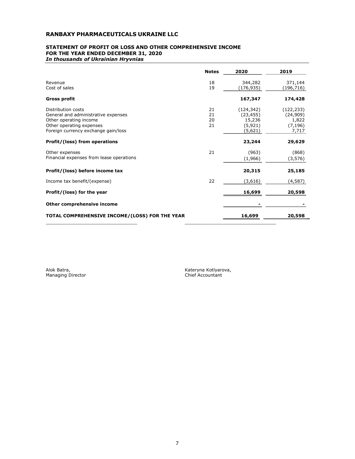#### STATEMENT OF PROFIT OR LOSS AND OTHER COMPREHENSIVE INCOME FOR THE YEAR ENDED DECEMBER 31, 2020 In thousands of Ukrainian Hryvnias

|                                                                                                                                                        | <b>Notes</b>         | 2020                                                     | 2019                                                 |
|--------------------------------------------------------------------------------------------------------------------------------------------------------|----------------------|----------------------------------------------------------|------------------------------------------------------|
| Revenue<br>Cost of sales                                                                                                                               | 18<br>19             | 344,282<br>(176,935)                                     | 371,144<br>(196,716)                                 |
| <b>Gross profit</b>                                                                                                                                    |                      | 167,347                                                  | 174,428                                              |
| Distribution costs<br>General and administrative expenses<br>Other operating income<br>Other operating expenses<br>Foreign currency exchange gain/loss | 21<br>21<br>20<br>21 | (124, 342)<br>(23, 455)<br>15,236<br>(5, 921)<br>(5,621) | (122, 233)<br>(24,909)<br>1,822<br>(7, 196)<br>7,717 |
| Profit/(loss) from operations                                                                                                                          |                      | 23,244                                                   | 29,629                                               |
| Other expenses<br>Financial expenses from lease operations                                                                                             | 21                   | (963)<br>(1,966)                                         | (868)<br>(3,576)                                     |
| Profit/(loss) before income tax                                                                                                                        |                      | 20,315                                                   | 25,185                                               |
| Income tax benefit/(expense)                                                                                                                           | 22                   | (3,616)                                                  | (4,587)                                              |
| Profit/(loss) for the year                                                                                                                             |                      | 16,699                                                   | 20,598                                               |
| Other comprehensive income                                                                                                                             |                      |                                                          |                                                      |
| TOTAL COMPREHENSIVE INCOME/(LOSS) FOR THE YEAR                                                                                                         |                      | 16,699                                                   | 20,598                                               |

 $\_$  , and the state of the state of the state of the state of the state of the state of the state of the state of the state of the state of the state of the state of the state of the state of the state of the state of the

Alok Batra,<br>Managing Director

Kateryna Kotlyarova,<br>Chief Accountant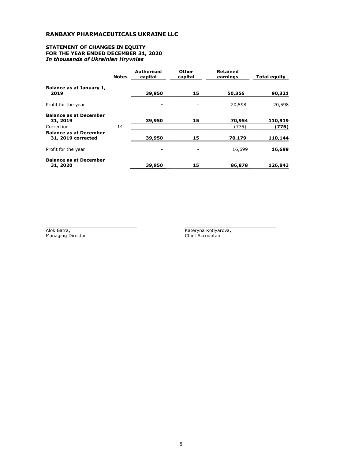#### STATEMENT OF CHANGES IN EQUITY FOR THE YEAR ENDED DECEMBER 31, 2020 In thousands of Ukrainian Hryvnias

|                                                     | <b>Notes</b> | <b>Authorised</b><br>capital | Other<br>capital | <b>Retained</b><br>earnings | <b>Total equity</b> |
|-----------------------------------------------------|--------------|------------------------------|------------------|-----------------------------|---------------------|
| Balance as at January 1,<br>2019                    |              | 39,950                       | 15               | 50,356                      | 90,321              |
| Profit for the year                                 |              |                              |                  | 20,598                      | 20,598              |
| <b>Balance as at December</b><br>31, 2019           |              | 39,950                       | 15               | 70,954                      | 110,919             |
| Correction                                          | 14           |                              |                  | (775)                       | (775)               |
| <b>Balance as at December</b><br>31, 2019 corrected |              | 39,950                       | 15               | 70,179                      | 110,144             |
| Profit for the year                                 |              | ۰                            |                  | 16,699                      | 16,699              |
| <b>Balance as at December</b><br>31, 2020           |              | 39,950                       | 15               | 86,878                      | 126,843             |

Alok Batra,<br>Managing Director

Kateryna Kotlyarova,<br>Chief Accountant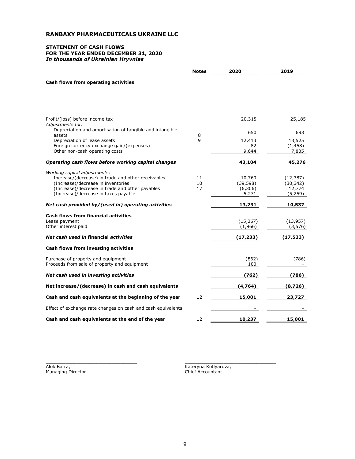#### STATEMENT OF CASH FLOWS FOR THE YEAR ENDED DECEMBER 31, 2020 In thousands of Ukrainian Hryvnias

|                                                                                                             | <b>Notes</b> | 2020                  | 2019                        |
|-------------------------------------------------------------------------------------------------------------|--------------|-----------------------|-----------------------------|
| Cash flows from operating activities                                                                        |              |                       |                             |
|                                                                                                             |              |                       |                             |
|                                                                                                             |              |                       |                             |
| Profit/(loss) before income tax<br>Adjustments for:                                                         |              | 20,315                | 25,185                      |
| Depreciation and amortisation of tangible and intangible<br>assets                                          | 8            | 650                   | 693                         |
| Depreciation of lease assets<br>Foreign currency exchange gain/(expenses)<br>Other non-cash operating costs | 9            | 12,413<br>82<br>9,644 | 13,525<br>(1, 458)<br>7,805 |
| Operating cash flows before working capital changes                                                         |              | 43,104                | 45,276                      |
| Working capital adjustments:                                                                                |              |                       |                             |
| Increase/(decrease) in trade and other receivables                                                          | 11           | 10,760                | (12, 387)                   |
| (Increase)/decrease in inventories                                                                          | 10<br>17     | (39, 598)             | (30, 342)                   |
| (Increase)/decrease in trade and other payables<br>(Increase)/decrease in taxes payable                     |              | (6,306)<br>5,271      | 12,774<br>(5,259)           |
| Net cash provided by/(used in) operating activities                                                         |              | 13,231                | 10,537                      |
| <b>Cash flows from financial activities</b>                                                                 |              |                       |                             |
| Lease payment                                                                                               |              | (15, 267)             | (13, 957)                   |
| Other interest paid                                                                                         |              | (1,966)               | (3,576)                     |
| Net cash used in financial activities                                                                       |              | (17, 233)             | (17, 533)                   |
| Cash flows from investing activities                                                                        |              |                       |                             |
| Purchase of property and equipment<br>Proceeds from sale of property and equipment                          |              | (862)<br>100          | (786)                       |
| Net cash used in investing activities                                                                       |              | (762)                 | (786)                       |
| Net increase/(decrease) in cash and cash equivalents                                                        |              | (4,764)               | (8,726)                     |
| Cash and cash equivalents at the beginning of the year                                                      | 12           | 15,001                | 23,727                      |
| Effect of exchange rate changes on cash and cash equivalents                                                |              |                       |                             |
| Cash and cash equivalents at the end of the year                                                            | 12           | 10,237                | 15,001                      |

Alok Batra,<br>Managing Director

 $\_$  , and the state of the state of the state of the state of the state of the state of the state of the state of the state of the state of the state of the state of the state of the state of the state of the state of the Kateryna Kotlyarova,<br>Chief Accountant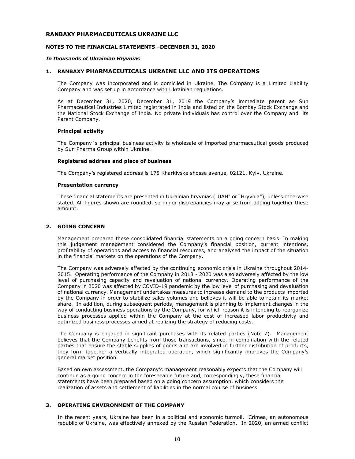#### NOTES TO THE FINANCIAL STATEMENTS –DECEMBER 31, 2020

#### In thousands of Ukrainian Hryvnias

# 1. RANBAXY PHARMACEUTICALS UKRAINE LLC AND ITS OPERATIONS

The Company was incorporated and is domiciled in Ukraine. The Company is a Limited Liability Сompany and was set up in accordance with Ukrainian regulations.

As at December 31, 2020, December 31, 2019 the Company's immediate parent as Sun Pharmaceutical Industries Limited registrated in India and listed on the Bombay Stock Exchange and the National Stock Exchange of India. No private individuals has control over the Company and its Parent Company.

#### Principal activity

The Company`s principal business activity is wholesale of imported pharmaceutical goods produced by Sun Pharma Group within Ukraine.

#### Registered address and place of business

The Company's registered address is 175 Kharkivske shosse avenue, 02121, Kyiv, Ukraine.

#### Presentation currency

These financial statements are presented in Ukrainian hryvnias ("UAH" or "Hryvnia"), unless otherwise stated. All figures shown are rounded, so minor discrepancies may arise from adding together these amount.

# 2. GOING CONCERN

Management prepared these consolidated financial statements on a going concern basis. In making this judgement management considered the Company's financial position, current intentions, profitability of operations and access to financial resources, and analysed the impact of the situation in the financial markets on the operations of the Company.

The Company was adversely affected by the continuing economic crisis in Ukraine throughout 2014- 2015. Operating performance of the Company in 2018 - 2020 was also adversely affected by the low level of purchasing capacity and revaluation of national currency. Operating performance of the Company in 2020 was affected by COVID-19 pandemic by the low level of purchasing and devaluation of national currency. Management undertakes measures to increase demand to the products imported by the Company in order to stabilize sales volumes and believes it will be able to retain its market share. In addition, during subsequent periods, management is planning to implement changes in the way of conducting business operations by the Company, for which reason it is intending to reorganize business processes applied within the Company at the cost of increased labor productivity and optimized business processes aimed at realizing the strategy of reducing costs.

The Company is engaged in significant purchases with its related parties (Note 7). Management believes that the Company benefits from those transactions, since, in combination with the related parties that ensure the stable supplies of goods and are involved in further distribution of products, they form together a vertically integrated operation, which significantly improves the Company's general market position.

Based on own assessment, the Company's management reasonably expects that the Company will continue as a going concern in the foreseeable future and, correspondingly, these financial statements have been prepared based on a going concern assumption, which considers the realization of assets and settlement of liabilities in the normal course of business.

# 3. OPERATING ENVIRONMENT OF THE COMPANY

In the recent years, Ukraine has been in a political and economic turmoil. Crimea, an autonomous republic of Ukraine, was effectively annexed by the Russian Federation. In 2020, an armed conflict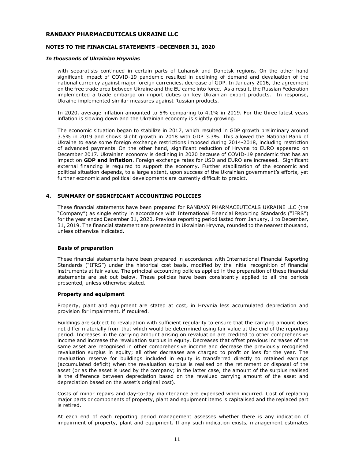# NOTES TO THE FINANCIAL STATEMENTS –DECEMBER 31, 2020

#### In thousands of Ukrainian Hryvnias

with separatists continued in certain parts of Luhansk and Donetsk regions. On the other hand significant impact of COVID-19 pandemic resulted in declining of demand and devaluation of the national currency against major foreign currencies, decrease of GDP. In January 2016, the agreement on the free trade area between Ukraine and the EU came into force. As a result, the Russian Federation implemented a trade embargo on import duties on key Ukrainian export products. In response, Ukraine implemented similar measures against Russian products.

In 2020, average inflation amounted to 5% comparing to 4.1% in 2019. For the three latest years inflation is slowing down and the Ukrainian economy is slightly growing.

The economic situation began to stabilize in 2017, which resulted in GDP growth preliminary around 3.5% in 2019 and shows slight growth in 2018 with GDP 3.3%. This allowed the National Bank of Ukraine to ease some foreign exchange restrictions imposed during 2014-2018, including restriction of advanced payments. On the other hand, significant reduction of Hryvna to EURO appeared on December 2017. Ukrainian economy is declining in 2020 because of COVID-19 pandemic that has an impact on GDP and inflation. Foreign exchange rates for USD and EURO are increased. Significant external financing is required to support the economy. Further stabilization of the economic and political situation depends, to a large extent, upon success of the Ukrainian government's efforts, yet further economic and political developments are currently difficult to predict.

# 4. SUMMARY OF SIGNIFICANT ACCOUNTING POLICIES

These financial statements have been prepared for RANBAXY PHARMACEUTICALS UKRAINE LLC (the "Company") as single entity in accordance with International Financial Reporting Standards ("IFRS") for the year ended December 31, 2020. Previous reporting period lasted from January, 1 to December, 31, 2019. The financial statement are presented in Ukrainian Hryvna, rounded to the nearest thousand, unless otherwise indicated.

# Basis of preparation

These financial statements have been prepared in accordance with International Financial Reporting Standards ("IFRS") under the historical cost basis, modified by the initial recognition of financial instruments at fair value. The principal accounting policies applied in the preparation of these financial statements are set out below. These policies have been consistently applied to all the periods presented, unless otherwise stated.

#### Property and equipment

Property, plant and equipment are stated at cost, in Hryvnia less accumulated depreciation and provision for impairment, if required.

Buildings are subject to revaluation with sufficient regularity to ensure that the carrying amount does not differ materially from that which would be determined using fair value at the end of the reporting period. Increases in the carrying amount arising on revaluation are credited to other comprehensive income and increase the revaluation surplus in equity. Decreases that offset previous increases of the same asset are recognised in other comprehensive income and decrease the previously recognised revaluation surplus in equity; all other decreases are charged to profit or loss for the year. The revaluation reserve for buildings included in equity is transferred directly to retained earnings (accumulated deficit) when the revaluation surplus is realised on the retirement or disposal of the asset (or as the asset is used by the company; in the latter case, the amount of the surplus realised is the difference between depreciation based on the revalued carrying amount of the asset and depreciation based on the asset's original cost).

Costs of minor repairs and day-to-day maintenance are expensed when incurred. Cost of replacing major parts or components of property, plant and equipment items is capitalised and the replaced part is retired.

At each end of each reporting period management assesses whether there is any indication of impairment of property, plant and equipment. If any such indication exists, management estimates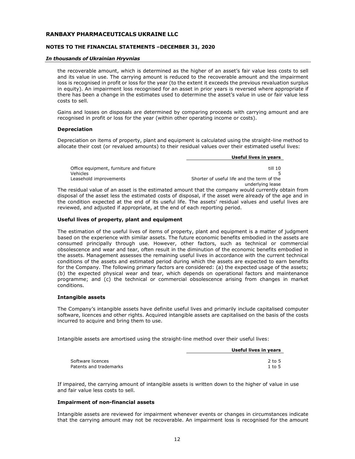# NOTES TO THE FINANCIAL STATEMENTS –DECEMBER 31, 2020

#### In thousands of Ukrainian Hryvnias

the recoverable amount, which is determined as the higher of an asset's fair value less costs to sell and its value in use. The carrying amount is reduced to the recoverable amount and the impairment loss is recognised in profit or loss for the year (to the extent it exceeds the previous revaluation surplus in equity). An impairment loss recognised for an asset in prior years is reversed where appropriate if there has been a change in the estimates used to determine the asset's value in use or fair value less costs to sell.

Gains and losses on disposals are determined by comparing proceeds with carrying amount and are recognised in profit or loss for the year (within other operating income or costs).

#### **Depreciation**

Depreciation on items of property, plant and equipment is calculated using the straight-line method to allocate their cost (or revalued amounts) to their residual values over their estimated useful lives:

Useful lives in years

The residual value of an asset is the estimated amount that the company would currently obtain from disposal of the asset less the estimated costs of disposal, if the asset were already of the age and in the condition expected at the end of its useful life. The assets' residual values and useful lives are reviewed, and adjusted if appropriate, at the end of each reporting period.

#### Useful lives of property, plant and equipment

The estimation of the useful lives of items of property, plant and equipment is a matter of judgment based on the experience with similar assets. The future economic benefits embodied in the assets are consumed principally through use. However, other factors, such as technical or commercial obsolescence and wear and tear, often result in the diminution of the economic benefits embodied in the assets. Management assesses the remaining useful lives in accordance with the current technical conditions of the assets and estimated period during which the assets are expected to earn benefits for the Company. The following primary factors are considered: (a) the expected usage of the assets; (b) the expected physical wear and tear, which depends on operational factors and maintenance programme; and (c) the technical or commercial obsolescence arising from changes in market conditions.

#### Intangible assets

The Company's intangible assets have definite useful lives and primarily include capitalised computer software, licences and other rights. Acquired intangible assets are capitalised on the basis of the costs incurred to acquire and bring them to use.

Intangible assets are amortised using the straight-line method over their useful lives:

|                        | Useful lives in years |
|------------------------|-----------------------|
| Software licences      | $2$ to 5              |
| Patents and trademarks | $1$ to 5              |

If impaired, the carrying amount of intangible assets is written down to the higher of value in use and fair value less costs to sell.

#### Impairment of non-financial assets

Intangible assets are reviewed for impairment whenever events or changes in circumstances indicate that the carrying amount may not be recoverable. An impairment loss is recognised for the amount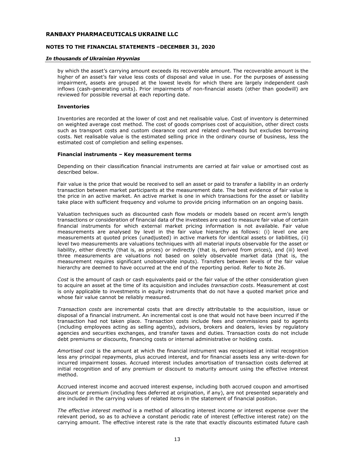# NOTES TO THE FINANCIAL STATEMENTS –DECEMBER 31, 2020

#### In thousands of Ukrainian Hryvnias

by which the asset's carrying amount exceeds its recoverable amount. The recoverable amount is the higher of an asset's fair value less costs of disposal and value in use. For the purposes of assessing impairment, assets are grouped at the lowest levels for which there are largely independent cash inflows (cash-generating units). Prior impairments of non-financial assets (other than goodwill) are reviewed for possible reversal at each reporting date.

#### Inventories

Inventories are recorded at the lower of cost and net realisable value. Cost of inventory is determined on weighted average cost method. The cost of goods comprises cost of acquisition, other direct costs such as transport costs and custom clearance cost and related overheads but excludes borrowing costs. Net realisable value is the estimated selling price in the ordinary course of business, less the estimated cost of completion and selling expenses.

#### Financial instruments – Key measurement terms

Depending on their classification financial instruments are carried at fair value or amortised cost as described below.

Fair value is the price that would be received to sell an asset or paid to transfer a liability in an orderly transaction between market participants at the measurement date. The best evidence of fair value is the price in an active market. An active market is one in which transactions for the asset or liability take place with sufficient frequency and volume to provide pricing information on an ongoing basis.

Valuation techniques such as discounted cash flow models or models based on recent arm's length transactions or consideration of financial data of the investees are used to measure fair value of certain financial instruments for which external market pricing information is not available. Fair value measurements are analysed by level in the fair value hierarchy as follows: (i) level one are measurements at quoted prices (unadjusted) in active markets for identical assets or liabilities, (ii) level two measurements are valuations techniques with all material inputs observable for the asset or liability, either directly (that is, as prices) or indirectly (that is, derived from prices), and (iii) level three measurements are valuations not based on solely observable market data (that is, the measurement requires significant unobservable inputs). Transfers between levels of the fair value hierarchy are deemed to have occurred at the end of the reporting period. Refer to Note 26.

Cost is the amount of cash or cash equivalents paid or the fair value of the other consideration given to acquire an asset at the time of its acquisition and includes transaction costs. Measurement at cost is only applicable to investments in equity instruments that do not have a quoted market price and whose fair value cannot be reliably measured.

Transaction costs are incremental costs that are directly attributable to the acquisition, issue or disposal of a financial instrument. An incremental cost is one that would not have been incurred if the transaction had not taken place. Transaction costs include fees and commissions paid to agents (including employees acting as selling agents), advisors, brokers and dealers, levies by regulatory agencies and securities exchanges, and transfer taxes and duties. Transaction costs do not include debt premiums or discounts, financing costs or internal administrative or holding costs.

Amortised cost is the amount at which the financial instrument was recognised at initial recognition less any principal repayments, plus accrued interest, and for financial assets less any write-down for incurred impairment losses. Accrued interest includes amortisation of transaction costs deferred at initial recognition and of any premium or discount to maturity amount using the effective interest method.

Accrued interest income and accrued interest expense, including both accrued coupon and amortised discount or premium (including fees deferred at origination, if any), are not presented separately and are included in the carrying values of related items in the statement of financial position.

The effective interest method is a method of allocating interest income or interest expense over the relevant period, so as to achieve a constant periodic rate of interest (effective interest rate) on the carrying amount. The effective interest rate is the rate that exactly discounts estimated future cash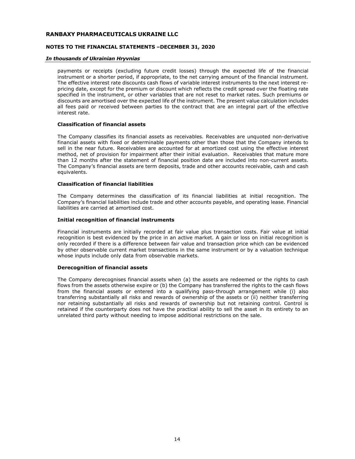# NOTES TO THE FINANCIAL STATEMENTS –DECEMBER 31, 2020

#### In thousands of Ukrainian Hryvnias

payments or receipts (excluding future credit losses) through the expected life of the financial instrument or a shorter period, if appropriate, to the net carrying amount of the financial instrument. The effective interest rate discounts cash flows of variable interest instruments to the next interest repricing date, except for the premium or discount which reflects the credit spread over the floating rate specified in the instrument, or other variables that are not reset to market rates. Such premiums or discounts are amortised over the expected life of the instrument. The present value calculation includes all fees paid or received between parties to the contract that are an integral part of the effective interest rate.

# Classification of financial assets

The Company classifies its financial assets as receivables. Receivables are unquoted non-derivative financial assets with fixed or determinable payments other than those that the Company intends to sell in the near future. Receivables are accounted for at amortized cost using the effective interest method, net of provision for impairment after their initial evaluation. Receivables that mature more than 12 months after the statement of financial position date are included into non-current assets. The Company's financial assets are term deposits, trade and other accounts receivable, cash and cash equivalents.

#### Classification of financial liabilities

The Company determines the classification of its financial liabilities at initial recognition. The Company's financial liabilities include trade and other accounts payable, and operating lease. Financial liabilities are carried at amortised cost.

# Initial recognition of financial instruments

Financial instruments are initially recorded at fair value plus transaction costs. Fair value at initial recognition is best evidenced by the price in an active market. A gain or loss on initial recognition is only recorded if there is a difference between fair value and transaction price which can be evidenced by other observable current market transactions in the same instrument or by a valuation technique whose inputs include only data from observable markets.

# Derecognition of financial assets

The Company derecognises financial assets when (a) the assets are redeemed or the rights to cash flows from the assets otherwise expire or (b) the Company has transferred the rights to the cash flows from the financial assets or entered into a qualifying pass-through arrangement while (i) also transferring substantially all risks and rewards of ownership of the assets or (ii) neither transferring nor retaining substantially all risks and rewards of ownership but not retaining control. Control is retained if the counterparty does not have the practical ability to sell the asset in its entirety to an unrelated third party without needing to impose additional restrictions on the sale.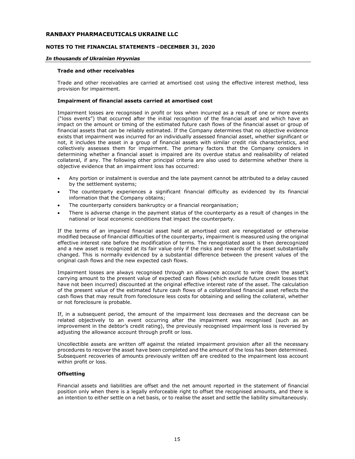#### NOTES TO THE FINANCIAL STATEMENTS –DECEMBER 31, 2020

#### In thousands of Ukrainian Hryvnias

#### Trade and other receivables

Trade and other receivables are carried at amortised cost using the effective interest method, less provision for impairment.

#### Impairment of financial assets carried at amortised cost

Impairment losses are recognised in profit or loss when incurred as a result of one or more events ("loss events") that occurred after the initial recognition of the financial asset and which have an impact on the amount or timing of the estimated future cash flows of the financial asset or group of financial assets that can be reliably estimated. If the Company determines that no objective evidence exists that impairment was incurred for an individually assessed financial asset, whether significant or not, it includes the asset in a group of financial assets with similar credit risk characteristics, and collectively assesses them for impairment. The primary factors that the Company considers in determining whether a financial asset is impaired are its overdue status and realisability of related collateral, if any. The following other principal criteria are also used to determine whether there is objective evidence that an impairment loss has occurred:

- Any portion or instalment is overdue and the late payment cannot be attributed to a delay caused by the settlement systems;
- The counterparty experiences a significant financial difficulty as evidenced by its financial information that the Company obtains;
- The counterparty considers bankruptcy or a financial reorganisation;
- There is adverse change in the payment status of the counterparty as a result of changes in the national or local economic conditions that impact the counterparty.

If the terms of an impaired financial asset held at amortised cost are renegotiated or otherwise modified because of financial difficulties of the counterparty, impairment is measured using the original effective interest rate before the modification of terms. The renegotiated asset is then derecognized and a new asset is recognized at its fair value only if the risks and rewards of the asset substantially changed. This is normally evidenced by a substantial difference between the present values of the original cash flows and the new expected cash flows.

Impairment losses are always recognised through an allowance account to write down the asset's carrying amount to the present value of expected cash flows (which exclude future credit losses that have not been incurred) discounted at the original effective interest rate of the asset. The calculation of the present value of the estimated future cash flows of a collateralised financial asset reflects the cash flows that may result from foreclosure less costs for obtaining and selling the collateral, whether or not foreclosure is probable.

If, in a subsequent period, the amount of the impairment loss decreases and the decrease can be related objectively to an event occurring after the impairment was recognised (such as an improvement in the debtor's credit rating), the previously recognised impairment loss is reversed by adjusting the allowance account through profit or loss.

Uncollectible assets are written off against the related impairment provision after all the necessary procedures to recover the asset have been completed and the amount of the loss has been determined. Subsequent recoveries of amounts previously written off are credited to the impairment loss account within profit or loss.

#### **Offsetting**

Financial assets and liabilities are offset and the net amount reported in the statement of financial position only when there is a legally enforceable right to offset the recognised amounts, and there is an intention to either settle on a net basis, or to realise the asset and settle the liability simultaneously.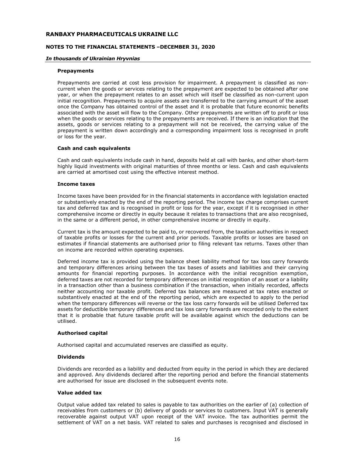# NOTES TO THE FINANCIAL STATEMENTS –DECEMBER 31, 2020

#### In thousands of Ukrainian Hryvnias

#### Prepayments

Prepayments are carried at cost less provision for impairment. A prepayment is classified as noncurrent when the goods or services relating to the prepayment are expected to be obtained after one year, or when the prepayment relates to an asset which will itself be classified as non-current upon initial recognition. Prepayments to acquire assets are transferred to the carrying amount of the asset once the Company has obtained control of the asset and it is probable that future economic benefits associated with the asset will flow to the Company. Other prepayments are written off to profit or loss when the goods or services relating to the prepayments are received. If there is an indication that the assets, goods or services relating to a prepayment will not be received, the carrying value of the prepayment is written down accordingly and a corresponding impairment loss is recognised in profit or loss for the year.

#### Cash and cash equivalents

Cash and cash equivalents include cash in hand, deposits held at call with banks, and other short-term highly liquid investments with original maturities of three months or less. Cash and cash equivalents are carried at amortised cost using the effective interest method.

#### Income taxes

Income taxes have been provided for in the financial statements in accordance with legislation enacted or substantively enacted by the end of the reporting period. The income tax charge comprises current tax and deferred tax and is recognised in profit or loss for the year, except if it is recognised in other comprehensive income or directly in equity because it relates to transactions that are also recognised, in the same or a different period, in other comprehensive income or directly in equity.

Current tax is the amount expected to be paid to, or recovered from, the taxation authorities in respect of taxable profits or losses for the current and prior periods. Taxable profits or losses are based on estimates if financial statements are authorised prior to filing relevant tax returns. Taxes other than on income are recorded within operating expenses.

Deferred income tax is provided using the balance sheet liability method for tax loss carry forwards and temporary differences arising between the tax bases of assets and liabilities and their carrying amounts for financial reporting purposes. In accordance with the initial recognition exemption, deferred taxes are not recorded for temporary differences on initial recognition of an asset or a liability in a transaction other than a business combination if the transaction, when initially recorded, affects neither accounting nor taxable profit. Deferred tax balances are measured at tax rates enacted or substantively enacted at the end of the reporting period, which are expected to apply to the period when the temporary differences will reverse or the tax loss carry forwards will be utilised Deferred tax assets for deductible temporary differences and tax loss carry forwards are recorded only to the extent that it is probable that future taxable profit will be available against which the deductions can be utilised.

# Authorised capital

Authorised capital and accumulated reserves are classified as equity.

# Dividends

Dividends are recorded as a liability and deducted from equity in the period in which they are declared and approved. Any dividends declared after the reporting period and before the financial statements are authorised for issue are disclosed in the subsequent events note.

#### Value added tax

Output value added tax related to sales is payable to tax authorities on the earlier of (a) collection of receivables from customers or (b) delivery of goods or services to customers. Input VAT is generally recoverable against output VAT upon receipt of the VAT invoice. The tax authorities permit the settlement of VAT on a net basis. VAT related to sales and purchases is recognised and disclosed in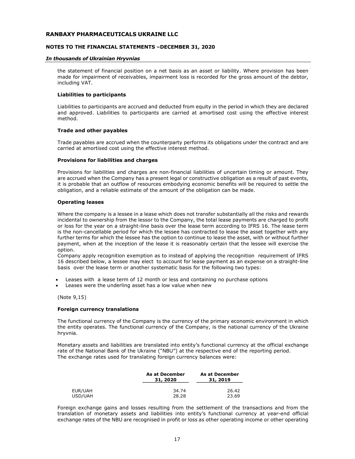# NOTES TO THE FINANCIAL STATEMENTS –DECEMBER 31, 2020

#### In thousands of Ukrainian Hryvnias

the statement of financial position on a net basis as an asset or liability. Where provision has been made for impairment of receivables, impairment loss is recorded for the gross amount of the debtor, including VAT.

#### Liabilities to participants

Liabilities to participants are accrued and deducted from equity in the period in which they are declared and approved. Liabilities to participants are carried at amortised cost using the effective interest method.

# Trade and other payables

Trade payables are accrued when the counterparty performs its obligations under the contract and are carried at amortised cost using the effective interest method.

#### Provisions for liabilities and charges

Provisions for liabilities and charges are non-financial liabilities of uncertain timing or amount. They are accrued when the Company has a present legal or constructive obligation as a result of past events, it is probable that an outflow of resources embodying economic benefits will be required to settle the obligation, and a reliable estimate of the amount of the obligation can be made.

#### Operating leases

Where the company is a lessee in a lease which does not transfer substantially all the risks and rewards incidental to ownership from the lessor to the Company, the total lease payments are charged to profit or loss for the year on a straight-line basis over the lease term according to IFRS 16. The lease term is the non-cancellable period for which the lessee has contracted to lease the asset together with any further terms for which the lessee has the option to continue to lease the asset, with or without further payment, when at the inception of the lease it is reasonably certain that the lessee will exercise the option.

Company apply recognition exemption as to instead of applying the recognition requirement of IFRS 16 described below, a lessee may elect to account for lease payment as an expense on a straight-line basis over the lease term or another systematic basis for the following two types:

- Leases with a lease term of 12 month or less and containing no purchase options
- Leases were the underling asset has a low value when new

(Note 9,15)

# Foreign currency translations

The functional currency of the Company is the currency of the primary economic environment in which the entity operates. The functional currency of the Company, is the national currency of the Ukraine hryvnia.

Monetary assets and liabilities are translated into entity's functional currency at the official exchange rate of the National Bank of the Ukraine ("NBU") at the respective end of the reporting period. The exchange rates used for translating foreign currency balances were:

|         | As at December<br>31, 2020 | As at December<br>31, 2019 |
|---------|----------------------------|----------------------------|
| EUR/UAH | 34.74                      | 26.42                      |
| USD/UAH | 28.28                      | 23.69                      |

Foreign exchange gains and losses resulting from the settlement of the transactions and from the translation of monetary assets and liabilities into entity's functional currency at year-end official exchange rates of the NBU are recognised in profit or loss as other operating income or other operating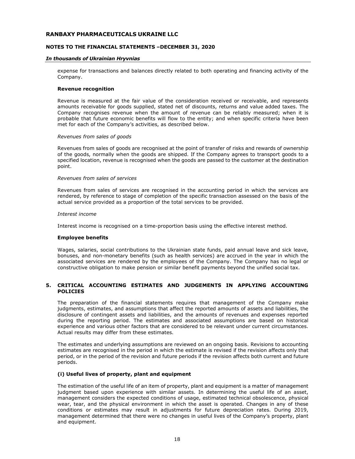# NOTES TO THE FINANCIAL STATEMENTS –DECEMBER 31, 2020

#### In thousands of Ukrainian Hryvnias

expense for transactions and balances directly related to both operating and financing activity of the Company.

#### Revenue recognition

Revenue is measured at the fair value of the consideration received or receivable, and represents amounts receivable for goods supplied, stated net of discounts, returns and value added taxes. The Company recognises revenue when the amount of revenue can be reliably measured; when it is probable that future economic benefits will flow to the entity; and when specific criteria have been met for each of the Company's activities, as described below.

#### Revenues from sales of goods

Revenues from sales of goods are recognised at the point of transfer of risks and rewards of ownership of the goods, normally when the goods are shipped. If the Company agrees to transport goods to a specified location, revenue is recognised when the goods are passed to the customer at the destination point.

# Revenues from sales of services

Revenues from sales of services are recognised in the accounting period in which the services are rendered, by reference to stage of completion of the specific transaction assessed on the basis of the actual service provided as a proportion of the total services to be provided.

#### Interest income

Interest income is recognised on a time-proportion basis using the effective interest method.

# Employee benefits

Wages, salaries, social contributions to the Ukrainian state funds, paid annual leave and sick leave, bonuses, and non-monetary benefits (such as health services) are accrued in the year in which the associated services are rendered by the employees of the Company. The Company has no legal or constructive obligation to make pension or similar benefit payments beyond the unified social tax.

# 5. CRITICAL ACCOUNTING ESTIMATES AND JUDGEMENTS IN APPLYING ACCOUNTING POLICIES

The preparation of the financial statements requires that management of the Company make judgments, estimates, and assumptions that affect the reported amounts of assets and liabilities, the disclosure of contingent assets and liabilities, and the amounts of revenues and expenses reported during the reporting period. The estimates and associated assumptions are based on historical experience and various other factors that are considered to be relevant under current circumstances. Actual results may differ from these estimates.

The estimates and underlying assumptions are reviewed on an ongoing basis. Revisions to accounting estimates are recognised in the period in which the estimate is revised if the revision affects only that period, or in the period of the revision and future periods if the revision affects both current and future periods.

# (i) Useful lives of property, plant and equipment

The estimation of the useful life of an item of property, plant and equipment is a matter of management judgment based upon experience with similar assets. In determining the useful life of an asset, management considers the expected conditions of usage, estimated technical obsolescence, physical wear, tear, and the physical environment in which the asset is operated. Changes in any of these conditions or estimates may result in adjustments for future depreciation rates. During 2019, management determined that there were no changes in useful lives of the Company's property, plant and equipment.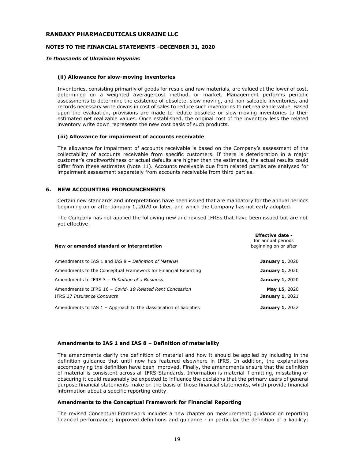#### NOTES TO THE FINANCIAL STATEMENTS –DECEMBER 31, 2020

#### In thousands of Ukrainian Hryvnias

#### (ii) Allowance for slow-moving inventories

Inventories, consisting primarily of goods for resale and raw materials, are valued at the lower of cost, determined on a weighted average-cost method, or market. Management performs periodic assessments to determine the existence of obsolete, slow moving, and non-saleable inventories, and records necessary write downs in cost of sales to reduce such inventories to net realizable value. Based upon the evaluation, provisions are made to reduce obsolete or slow-moving inventories to their estimated net realizable values. Once established, the original cost of the inventory less the related inventory write down represents the new cost basis of such products.

#### (iii) Allowance for impairment of accounts receivable

The allowance for impairment of accounts receivable is based on the Company's assessment of the collectability of accounts receivable from specific customers. If there is deterioration in a major customer's creditworthiness or actual defaults are higher than the estimates, the actual results could differ from these estimates (Note 11). Accounts receivable due from related parties are analysed for impairment assessment separately from accounts receivable from third parties.

# 6. NEW ACCOUNTING PRONOUNCEMENTS

Certain new standards and interpretations have been issued that are mandatory for the annual periods beginning on or after January 1, 2020 or later, and which the Company has not early adopted.

The Company has not applied the following new and revised IFRSs that have been issued but are not yet effective:

| New or amended standard or interpretation                                               | <b>Effective date -</b><br>for annual periods<br>beginning on or after |
|-----------------------------------------------------------------------------------------|------------------------------------------------------------------------|
| Amendments to IAS 1 and IAS 8 - Definition of Material                                  | <b>January 1, 2020</b>                                                 |
| Amendments to the Conceptual Framework for Financial Reporting                          | <b>January 1, 2020</b>                                                 |
| Amendments to IFRS 3 - Definition of a Business                                         | <b>January 1, 2020</b>                                                 |
| Amendments to IFRS 16 - Covid-19 Related Rent Concession<br>IFRS 17 Insurance Contracts | May 15, 2020<br><b>January 1, 2021</b>                                 |
| Amendments to IAS $1$ – Approach to the classification of liabilities                   | <b>January 1, 2022</b>                                                 |

#### Amendments to IAS 1 and IAS 8 – Definition of materiality

The amendments clarify the definition of material and how it should be applied by including in the definition guidance that until now has featured elsewhere in IFRS. In addition, the explanations accompanying the definition have been improved. Finally, the amendments ensure that the definition of material is consistent across all IFRS Standards. Information is material if omitting, misstating or obscuring it could reasonably be expected to influence the decisions that the primary users of general purpose financial statements make on the basis of those financial statements, which provide financial information about a specific reporting entity.

#### Amendments to the Conceptual Framework for Financial Reporting

The revised Conceptual Framework includes a new chapter on measurement; guidance on reporting financial performance; improved definitions and guidance - in particular the definition of a liability;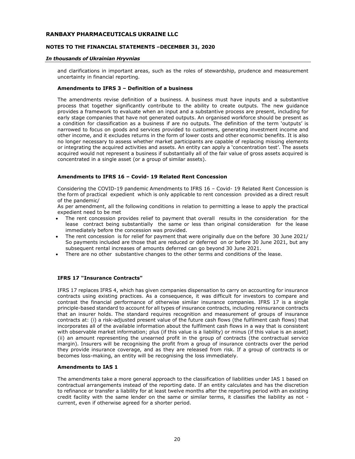# NOTES TO THE FINANCIAL STATEMENTS –DECEMBER 31, 2020

#### In thousands of Ukrainian Hryvnias

and clarifications in important areas, such as the roles of stewardship, prudence and measurement uncertainty in financial reporting.

#### Amendments to IFRS 3 – Definition of a business

The amendments revise definition of a business. A business must have inputs and a substantive process that together significantly contribute to the ability to create outputs. The new guidance provides a framework to evaluate when an input and a substantive process are present, including for early stage companies that have not generated outputs. An organised workforce should be present as a condition for classification as a business if are no outputs. The definition of the term 'outputs' is narrowed to focus on goods and services provided to customers, generating investment income and other income, and it excludes returns in the form of lower costs and other economic benefits. It is also no longer necessary to assess whether market participants are capable of replacing missing elements or integrating the acquired activities and assets. An entity can apply a 'concentration test'. The assets acquired would not represent a business if substantially all of the fair value of gross assets acquired is concentrated in a single asset (or a group of similar assets).

# Amendments to IFRS 16 – Covid- 19 Related Rent Concession

Considering the COVID-19 pandemic Amendments to IFRS 16 – Covid- 19 Related Rent Concession is the form of practical expedient which is only applicable to rent concession provided as a direct result of the pandemic/

As per amendment, all the following conditions in relation to permitting a lease to apply the practical expedient need to be met

- The rent concession provides relief to payment that overall results in the consideration for the lease contract being substantially the same or less than original consideration for the lease immediately before the concession was provided.
- The rent concession is for relief for payment that were originally due on the before 30 June 2021/ So payments included are those that are reduced or deferred on or before 30 June 2021, but any subsequent rental increases of amounts deferred can go beyond 30 June 2021.
- There are no other substantive changes to the other terms and conditions of the lease.

# IFRS 17 "Insurance Contracts"

IFRS 17 replaces IFRS 4, which has given companies dispensation to carry on accounting for insurance contracts using existing practices. As a consequence, it was difficult for investors to compare and contrast the financial performance of otherwise similar insurance companies. IFRS 17 is a single principle-based standard to account for all types of insurance contracts, including reinsurance contracts that an insurer holds. The standard requires recognition and measurement of groups of insurance contracts at: (i) a risk-adjusted present value of the future cash flows (the fulfilment cash flows) that incorporates all of the available information about the fulfilment cash flows in a way that is consistent with observable market information; plus (if this value is a liability) or minus (if this value is an asset) (ii) an amount representing the unearned profit in the group of contracts (the contractual service margin). Insurers will be recognising the profit from a group of insurance contracts over the period they provide insurance coverage, and as they are released from risk. If a group of contracts is or becomes loss-making, an entity will be recognising the loss immediately.

#### Amendments to IAS 1

The amendments take a more general approach to the classification of liabilities under IAS 1 based on contractual arrangements instead of the reporting date. If an entity calculates and has the discretion to refinance or transfer a liability for at least twelve months after the reporting period with an existing credit facility with the same lender on the same or similar terms, it classifies the liability as not current, even if otherwise agreed for a shorter period.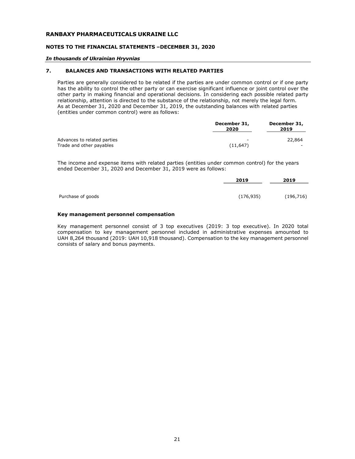#### NOTES TO THE FINANCIAL STATEMENTS –DECEMBER 31, 2020

#### In thousands of Ukrainian Hryvnias

# 7. BALANCES AND TRANSACTIONS WITH RELATED PARTIES

Parties are generally considered to be related if the parties are under common control or if one party has the ability to control the other party or can exercise significant influence or joint control over the other party in making financial and operational decisions. In considering each possible related party relationship, attention is directed to the substance of the relationship, not merely the legal form. As at December 31, 2020 and December 31, 2019, the outstanding balances with related parties (entities under common control) were as follows:

|                                                         | December 31,<br>2020 | December 31,<br>2019               |
|---------------------------------------------------------|----------------------|------------------------------------|
| Advances to related parties<br>Trade and other payables | (11, 647)            | 22,864<br>$\overline{\phantom{0}}$ |

The income and expense items with related parties (entities under common control) for the years ended December 31, 2020 and December 31, 2019 were as follows:

|                   | 2019       | 2019       |
|-------------------|------------|------------|
|                   |            |            |
| Purchase of goods | (176, 935) | (196, 716) |

#### Key management personnel compensation

Key management personnel consist of 3 top executives (2019: 3 top executive). In 2020 total compensation to key management personnel included in administrative expenses amounted to UAH 8,264 thousand (2019: UAH 10,918 thousand). Compensation to the key management personnel consists of salary and bonus payments.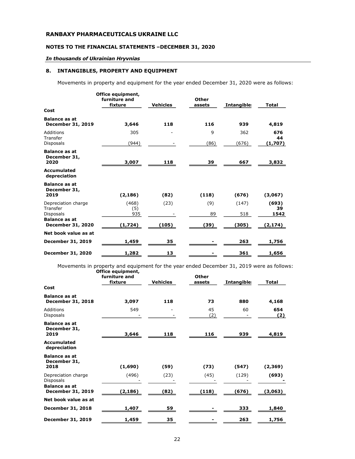# NOTES TO THE FINANCIAL STATEMENTS –DECEMBER 31, 2020

# In thousands of Ukrainian Hryvnias

# 8. INTANGIBLES, PROPERTY AND EQUIPMENT

Movements in property and equipment for the year ended December 31, 2020 were as follows:

| Cost                                                | Office equipment,<br>furniture and<br>fixture | <b>Vehicles</b> | Other<br>assets | <b>Intangible:</b> | <b>Total</b>         |
|-----------------------------------------------------|-----------------------------------------------|-----------------|-----------------|--------------------|----------------------|
| <b>Balance as at</b><br><b>December 31, 2019</b>    | 3,646                                         | 118             | 116             | 939                | 4,819                |
| Additions<br>Transfer<br>Disposals                  | 305<br>(944)                                  |                 | 9<br>(86)       | 362<br>(676)       | 676<br>44<br>(1,707) |
| <b>Balance as at</b><br>December 31,<br>2020        | 3,007                                         | 118             | 39              | 667                | 3,832                |
| Accumulated<br>depreciation                         |                                               |                 |                 |                    |                      |
| <b>Balance as at</b><br>December 31,<br>2019        | (2, 186)                                      | (82)            | (118)           | (676)              | (3,067)              |
| Depreciation charge<br>Transfer<br><b>Disposals</b> | (468)<br>(5)<br>935                           | (23)            | (9)<br>89       | (147)<br>518       | (693)<br>39<br>1542  |
| <b>Balance as at</b><br><b>December 31, 2020</b>    | (1,724)                                       | (105)           | (39)            | (305)              | (2,174)              |
| Net book value as at                                |                                               |                 |                 |                    |                      |
| <b>December 31, 2019</b>                            | 1,459                                         | 35              |                 | 263                | 1,756                |
| <b>December 31, 2020</b>                            | 1,282                                         | 13              |                 | 361                | 1,656                |

Movements in property and equipment for the year ended December 31, 2019 were as follows: Office equipment,

|                                                  | furniture and<br>fixture | <b>Vehicles</b> | <b>Other</b><br>assets | <b>Intangible:</b> | Total      |
|--------------------------------------------------|--------------------------|-----------------|------------------------|--------------------|------------|
| Cost                                             |                          |                 |                        |                    |            |
| <b>Balance as at</b><br>December 31, 2018        | 3,097                    | 118             | 73                     | 880                | 4,168      |
| Additions<br>Disposals                           | 549                      |                 | 45<br>(2)              | 60                 | 654<br>(2) |
| <b>Balance as at</b><br>December 31,<br>2019     | 3,646                    | 118             | 116                    | 939                | 4,819      |
| Accumulated<br>depreciation                      |                          |                 |                        |                    |            |
| <b>Balance as at</b><br>December 31,<br>2018     | (1,690)                  | (59)            | (73)                   | (547)              | (2,369)    |
| Depreciation charge<br><b>Disposals</b>          | (496)                    | (23)            | (45)                   | (129)              | (693)      |
| <b>Balance as at</b><br><b>December 31, 2019</b> | (2, 186)                 | (82)            | (118)                  | (676)              | (3,063)    |
| Net book value as at                             |                          |                 |                        |                    |            |
| <b>December 31, 2018</b>                         | 1,407                    | 59              |                        | 333                | 1,840      |
| <b>December 31, 2019</b>                         | 1,459                    | 35              |                        | 263                | 1,756      |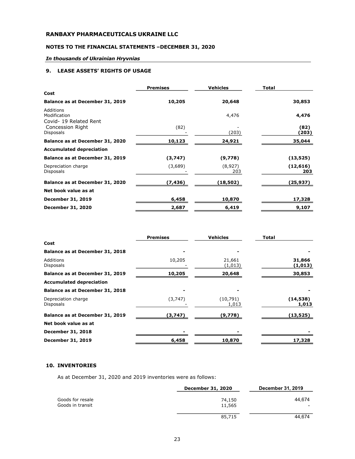# NOTES TO THE FINANCIAL STATEMENTS –DECEMBER 31, 2020

# In thousands of Ukrainian Hryvnias

# 9. LEASE ASSETS' RIGHTS OF USAGE

|                                                     | <b>Premises</b> | <b>Vehicles</b> | <b>Total</b>     |
|-----------------------------------------------------|-----------------|-----------------|------------------|
| Cost                                                |                 |                 |                  |
| Balance as at December 31, 2019                     | 10,205          | 20,648          | 30,853           |
| Additions<br>Modification<br>Covid- 19 Related Rent |                 | 4,476           | 4,476            |
| Concession Right<br>Disposals                       | (82)            | (203)           | (82)<br>(203)    |
| Balance as at December 31, 2020                     | 10,123          | 24,921          | 35,044           |
| <b>Accumulated depreciation</b>                     |                 |                 |                  |
| Balance as at December 31, 2019                     | (3,747)         | (9,778)         | (13, 525)        |
| Depreciation charge<br><b>Disposals</b>             | (3,689)         | (8,927)<br>203  | (12, 616)<br>203 |
| Balance as at December 31, 2020                     | (7,436)         | (18,502)        | (25,937)         |
| Net book value as at                                |                 |                 |                  |
| <b>December 31, 2019</b>                            | 6,458           | 10,870          | 17,328           |
| <b>December 31, 2020</b>                            | 2,687           | 6,419           | 9,107            |

|                                  | <b>Premises</b> | <b>Vehicles</b>    | <b>Total</b>       |
|----------------------------------|-----------------|--------------------|--------------------|
| Cost                             |                 |                    |                    |
| Balance as at December 31, 2018  |                 |                    |                    |
| Additions<br><b>Disposals</b>    | 10,205          | 21,661<br>(1,013)  | 31,866<br>(1,013)  |
| Balance as at December 31, 2019  | 10,205          | 20,648             | 30,853             |
| <b>Accumulated depreciation</b>  |                 |                    |                    |
| Balance as at December 31, 2018  |                 |                    |                    |
| Depreciation charge<br>Disposals | (3,747)         | (10, 791)<br>1,013 | (14, 538)<br>1,013 |
| Balance as at December 31, 2019  | (3,747)         | (9,778)            | (13, 525)          |
| Net book value as at             |                 |                    |                    |
| <b>December 31, 2018</b>         |                 |                    |                    |
| December 31, 2019                | 6,458           | 10,870             | 17,328             |

# 10. INVENTORIES

As at December 31, 2020 and 2019 inventories were as follows:

|                                      | <b>December 31, 2020</b> | December 31, 2019                  |
|--------------------------------------|--------------------------|------------------------------------|
| Goods for resale<br>Goods in transit | 74,150<br>11,565         | 44.674<br>$\overline{\phantom{a}}$ |
|                                      | 85,715                   | 44.674                             |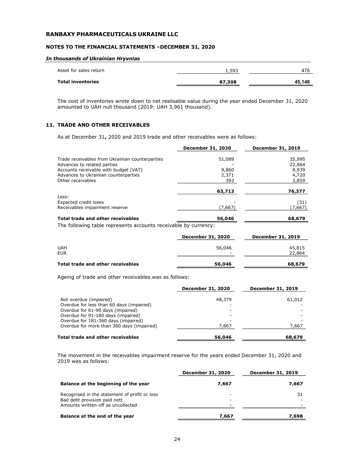#### NOTES TO THE FINANCIAL STATEMENTS –DECEMBER 31, 2020

#### In thousands of Ukrainian Hryvnias

| Asset for sales return   | 1,593  | 475    |
|--------------------------|--------|--------|
| <b>Total inventories</b> | 87,308 | 45.149 |

The cost of inventories wrote down to net realisable value during the year ended December 31, 2020 amounted to UAH null thousand (2019: UAH 3,961 thousand).

# 11. TRADE AND OTHER RECEIVABLES

As at December 31, 2020 and 2019 trade and other receivables were as follows:

|                                                                                | December 31, 2020        | December 31, 2019 |
|--------------------------------------------------------------------------------|--------------------------|-------------------|
| Trade receivables from Ukrainian counterparties<br>Advances to related parties | 51,089                   | 35,995<br>22,864  |
| Accounts receivable with budget (VAT)<br>Advances to Ukrainian counterparties  | 9,860<br>2,371           | 8,939<br>4,720    |
| Other receivables                                                              | 393                      | 3,859             |
|                                                                                | 63,713                   | 76,377            |
| Less:<br>Expected credit loses<br>Receivables impairment reserve               | (7,667)                  | (31)<br>(7,667)   |
| <b>Total trade and other receivables</b>                                       | 56,046                   | 68,679            |
| The following table represents accounts receivable by currency:                |                          |                   |
|                                                                                | <b>December 31, 2020</b> | December 31, 2019 |
| <b>UAH</b><br><b>EUR</b>                                                       | 56,046                   | 45,815<br>22,864  |
|                                                                                |                          |                   |

# Total trade and other receivables 68,679 68,679

Ageing of trade and other receivables was as follows:

|                                           | <b>December 31, 2020</b> | <b>December 31, 2019</b> |
|-------------------------------------------|--------------------------|--------------------------|
| Not overdue (impaired)                    | 48,379                   | 61,012                   |
| Overdue for less than 60 days (impaired)  |                          |                          |
| Overdue for 61-90 days (impaired)         |                          |                          |
| Overdue for 91-180 days (impaired)        |                          |                          |
| Overdue for 181-360 days (impaired)       |                          |                          |
| Overdue for more than 360 days (impaired) | 7.667                    | 7,667                    |
| Total trade and other receivables         | 56,046                   | 68,679                   |

The movement in the receivables impairment reserve for the years ended December 31, 2020 and 2019 was as follows:

|                                                                                                                     | <b>December 31, 2020</b>                             | December 31, 2019 |
|---------------------------------------------------------------------------------------------------------------------|------------------------------------------------------|-------------------|
| Balance at the beginning of the year                                                                                | 7.667                                                | 7,667             |
| Recognised in the statement of profit or loss<br>Bad debt provision paid nett<br>Amounts written-off as uncollected | $\overline{\phantom{0}}$<br>$\overline{\phantom{0}}$ | 31                |
| Balance at the end of the year                                                                                      | 7,667                                                | 7.698             |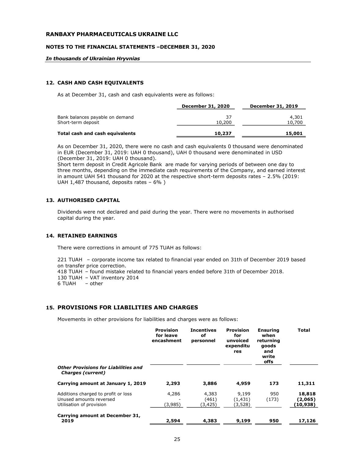#### NOTES TO THE FINANCIAL STATEMENTS –DECEMBER 31, 2020

#### In thousands of Ukrainian Hryvnias

# 12. CASH AND CASH EQUIVALENTS

As at December 31, cash and cash equivalents were as follows:

|                                                       | December 31, 2020 | <b>December 31, 2019</b> |
|-------------------------------------------------------|-------------------|--------------------------|
| Bank balances payable on demand<br>Short-term deposit | 37<br>10,200      | 4,301<br>10,700          |
| Total cash and cash equivalents                       | 10,237            | 15,001                   |

As on December 31, 2020, there were no cash and cash equivalents 0 thousand were denominated in EUR (December 31, 2019: UAH 0 thousand), UAH 0 thousand were denominated in USD (December 31, 2019: UAH 0 thousand).

Short term deposit in Credit Agricole Bank are made for varying periods of between one day to three months, depending on the immediate cash requirements of the Company, and earned interest in amount UAH 541 thousand for 2020 at the respective short-term deposits rates – 2.5% (2019: UAH 1,487 thousand, deposits rates – 6% )

#### 13. AUTHORISED CAPITAL

Dividends were not declared and paid during the year. There were no movements in authorised capital during the year.

# 14. RETAINED EARNINGS

There were corrections in amount of 775 TUAH as follows:

221 TUAH – corporate income tax related to financial year ended on 31th of December 2019 based on transfer price correction. 418 TUAH – found mistake related to financial years ended before 31th of December 2018. 130 TUAH – VAT inventory 2014 6 TUAH – other

# 15. PROVISIONS FOR LIABILITIES AND CHARGES

Movements in other provisions for liabilities and charges were as follows:

|                                                                                            | <b>Provision</b><br>for leave<br>encashment | <b>Incentives</b><br>оf<br>personnel | <b>Provision</b><br>for<br>unvoiced<br>expenditu<br>res | <b>Ensuring</b><br>when<br>returning<br>goods<br>and<br>write<br>offs | <b>Total</b>                  |
|--------------------------------------------------------------------------------------------|---------------------------------------------|--------------------------------------|---------------------------------------------------------|-----------------------------------------------------------------------|-------------------------------|
| <b>Other Provisions for Liabilities and</b><br><b>Charges (current)</b>                    |                                             |                                      |                                                         |                                                                       |                               |
| Carrying amount at January 1, 2019                                                         | 2,293                                       | 3,886                                | 4,959                                                   | 173                                                                   | 11,311                        |
| Additions charged to profit or loss<br>Unused amounts reversed<br>Utilisation of provision | 4,286<br>(3,985)                            | 4,383<br>(461)<br>(3,425)            | 9,199<br>(1, 431)<br>(3,528)                            | 950<br>(173)                                                          | 18,818<br>(2,065)<br>(10,938) |
| Carrying amount at December 31,<br>2019                                                    | 2,594                                       | 4,383                                | 9,199                                                   | 950                                                                   | 17,126                        |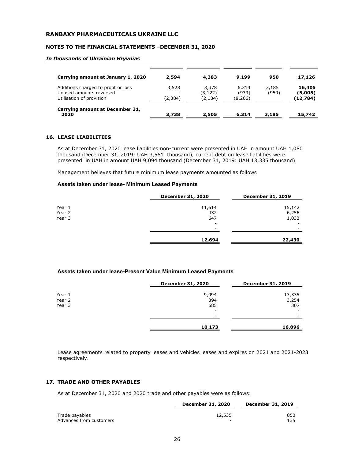#### NOTES TO THE FINANCIAL STATEMENTS –DECEMBER 31, 2020

#### In thousands of Ukrainian Hryvnias

| Carrying amount at January 1, 2020                                                         | 2,594            | 4,383                        | 9,199                      | 950            | 17,126                        |
|--------------------------------------------------------------------------------------------|------------------|------------------------------|----------------------------|----------------|-------------------------------|
| Additions charged to profit or loss<br>Unused amounts reversed<br>Utilisation of provision | 3,528<br>(2,384) | 3,378<br>(3, 122)<br>(2,134) | 6,314<br>(933)<br>(8, 266) | 3,185<br>(950) | 16,405<br>(5,005)<br>(12,784) |
| Carrying amount at December 31,<br>2020                                                    | 3,738            | 2,505                        | 6,314                      | 3,185          | 15,742                        |

# 16. LEASE LIABILITIES

As at December 31, 2020 lease liabilities non-current were presented in UAH in amount UAH 1,080 thousand (December 31, 2019: UAH 3,561 thousand), current debt on lease liabilities were presented in UAH in amount UAH 9,094 thousand (December 31, 2019: UAH 13,335 thousand).

Management believes that future minimum lease payments amounted as follows

#### Assets taken under lease- Minimum Leased Payments

|                            | <b>December 31, 2020</b>                             | <b>December 31, 2019</b> |
|----------------------------|------------------------------------------------------|--------------------------|
| Year 1<br>Year 2<br>Year 3 | 11,614<br>432<br>647                                 | 15,142<br>6,256<br>1,032 |
|                            | $\overline{\phantom{a}}$<br>$\overline{\phantom{0}}$ | $\overline{\phantom{a}}$ |
|                            | 12,694                                               | 22,430                   |

# Assets taken under lease-Present Value Minimum Leased Payments

|        | <b>December 31, 2020</b> | <b>December 31, 2019</b> |
|--------|--------------------------|--------------------------|
| Year 1 | 9,094                    | 13,335                   |
| Year 2 | 394                      | 3,254                    |
| Year 3 | 685                      | 307                      |
|        | -                        |                          |
|        | $\overline{\phantom{0}}$ | $\overline{\phantom{0}}$ |
|        | 10,173                   | 16,896                   |

Lease agreements related to property leases and vehicles leases and expires on 2021 and 2021-2023 respectively.

## 17. TRADE AND OTHER PAYABLES

As at December 31, 2020 and 2020 trade and other payables were as follows:

|                         | December 31, 2020        | <b>December 31, 2019</b> |  |
|-------------------------|--------------------------|--------------------------|--|
|                         |                          |                          |  |
| Trade payables          | 12,535                   | 850                      |  |
| Advances from customers | $\overline{\phantom{0}}$ | 135                      |  |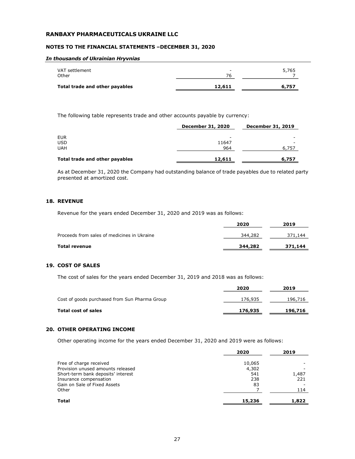## NOTES TO THE FINANCIAL STATEMENTS –DECEMBER 31, 2020

#### In thousands of Ukrainian Hryvnias

| Total trade and other payables | 12,611                   | 6,757 |
|--------------------------------|--------------------------|-------|
| Other                          | 76                       |       |
| VAT settlement                 | $\overline{\phantom{a}}$ | 5,765 |

The following table represents trade and other accounts payable by currency:

|                                | <b>December 31, 2020</b> | <b>December 31, 2019</b> |  |
|--------------------------------|--------------------------|--------------------------|--|
| <b>EUR</b>                     | -                        |                          |  |
| <b>USD</b>                     | 11647                    |                          |  |
| <b>UAH</b>                     | 964                      | 6,757                    |  |
| Total trade and other payables | 12,611                   | 6,757                    |  |

As at December 31, 2020 the Company had outstanding balance of trade payables due to related party presented at amortized cost.

# 18. REVENUE

Revenue for the years ended December 31, 2020 and 2019 was as follows:

|                                             | 2020    | 2019    |
|---------------------------------------------|---------|---------|
| Proceeds from sales of medicines in Ukraine | 344,282 | 371,144 |
| Total revenue                               | 344,282 | 371,144 |

# 19. COST OF SALES

The cost of sales for the years ended December 31, 2019 and 2018 was as follows:

|                                               | 2020    | 2019    |
|-----------------------------------------------|---------|---------|
| Cost of goods purchased from Sun Pharma Group | 176,935 | 196,716 |
| <b>Total cost of sales</b>                    | 176,935 | 196,716 |

#### 20. OTHER OPERATING INCOME

Other operating income for the years ended December 31, 2020 and 2019 were as follows:

|                                    | 2020   | 2019  |
|------------------------------------|--------|-------|
| Free of charge received            | 10,065 |       |
| Provision unused amounts released  | 4,302  |       |
| Short-term bank deposits' interest | 541    | 1,487 |
| Insurance compensation             | 238    | 221   |
| Gain on Sale of Fixed Assets       | 83     |       |
| Other                              |        | 114   |
| <b>Total</b>                       | 15,236 | 1,822 |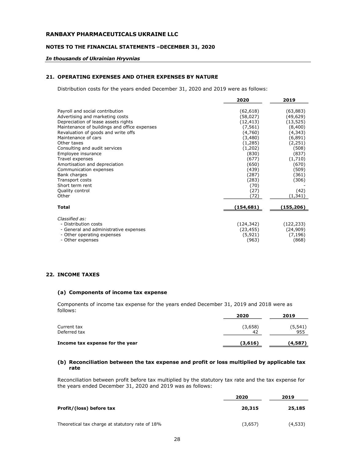# NOTES TO THE FINANCIAL STATEMENTS –DECEMBER 31, 2020

#### In thousands of Ukrainian Hryvnias

#### 21. OPERATING EXPENSES AND OTHER EXPENSES BY NATURE

Distribution costs for the years ended December 31, 2020 and 2019 were as follows:

|                                                                    | 2020                  | 2019                  |
|--------------------------------------------------------------------|-----------------------|-----------------------|
| Payroll and social contribution<br>Advertising and marketing costs | (62, 618)<br>(58,027) | (63, 883)<br>(49,629) |
| Depreciation of lease assets rights                                | (12, 413)             | (13, 525)             |
| Maintenance of buildings and office expenses                       | (7, 561)              | (8,400)               |
| Revaluation of goods and write offs                                | (4,760)               | (4, 343)              |
| Maintenance of cars                                                | (3,480)               | (6, 891)              |
| Other taxes                                                        | (1,285)               | (2,251)               |
| Consulting and audit services                                      | (1,202)               | (508)                 |
| Employee insurance                                                 | (830)                 | (837)                 |
| Travel expenses                                                    | (677)                 | (1,710)               |
| Amortisation and depreciation                                      | (650)                 | (670)                 |
| Communication expenses                                             | (439)                 | (509)                 |
| Bank charges                                                       | (287)                 | (361)                 |
| Transport costs                                                    | (283)                 | (306)                 |
| Short term rent                                                    | (70)                  |                       |
| Quality control                                                    | (27)                  | (42)                  |
| Other                                                              | (72)                  | (1,341)               |
| <b>Total</b>                                                       | (154,681)             | (155,206)             |
|                                                                    |                       |                       |
| Classified as:                                                     |                       |                       |
| - Distribution costs                                               | (124, 342)            | (122, 233)            |
| - General and administrative expenses                              | (23, 455)             | (24, 909)             |
| - Other operating expenses                                         | (5,921)               | (7, 196)              |
| - Other expenses                                                   | (963)                 | (868)                 |

# 22. INCOME TAXES

#### (a) Components of income tax expense

Components of income tax expense for the years ended December 31, 2019 and 2018 were as follows:

|                                 | 2020           | 2019            |
|---------------------------------|----------------|-----------------|
| Current tax<br>Deferred tax     | (3,658)<br>-42 | (5, 541)<br>955 |
| Income tax expense for the year | (3,616)        | (4,587)         |

# (b) Reconciliation between the tax expense and profit or loss multiplied by applicable tax rate

Reconciliation between profit before tax multiplied by the statutory tax rate and the tax expense for the years ended December 31, 2020 and 2019 was as follows:

|                                                 | 2020    | 2019    |
|-------------------------------------------------|---------|---------|
| Profit/(loss) before tax                        | 20,315  | 25,185  |
| Theoretical tax charge at statutory rate of 18% | (3,657) | (4,533) |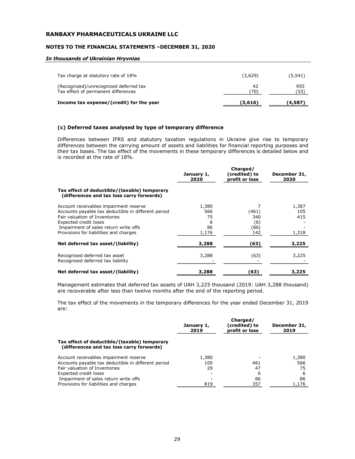#### NOTES TO THE FINANCIAL STATEMENTS –DECEMBER 31, 2020

#### In thousands of Ukrainian Hryvnias

| Income tax expense/(credit) for the year                                      | (3,616)   | (4,587)     |
|-------------------------------------------------------------------------------|-----------|-------------|
| (Recognized)/unrecognized deferred tax<br>Tax effect of permanent differences | 42<br>70) | 955<br>〔53〕 |
| Tax charge at statutory rate of 18%                                           | (3,629)   | (5, 541)    |

# (c) Deferred taxes analysed by type of temporary difference

Differences between IFRS and statutory taxation regulations in Ukraine give rise to temporary differences between the carrying amount of assets and liabilities for financial reporting purposes and their tax bases. The tax effect of the movements in these temporary differences is detailed below and is recorded at the rate of 18%.

|                                                                                                                                                                                                                                            | January 1,<br>2020                     | Charged/<br>(credited) to<br>profit or loss | December 31,<br>2020         |
|--------------------------------------------------------------------------------------------------------------------------------------------------------------------------------------------------------------------------------------------|----------------------------------------|---------------------------------------------|------------------------------|
| Tax effect of deductible/(taxable) temporary<br>(differences and tax loss carry forwards)                                                                                                                                                  |                                        |                                             |                              |
| Account receivables impairment reserve<br>Accounts payable tax deductible in different period<br>Fair valuation of Inventories<br>Expected credit loses<br>Impairment of sales return write offs<br>Provisions for liabilities and charges | 1,380<br>566<br>75<br>6<br>86<br>1,176 | (461)<br>340<br>(6)<br>(86)<br>142          | 1,387<br>105<br>415<br>1,318 |
| Net deferred tax asset/(liability)                                                                                                                                                                                                         | 3,288                                  | (63)                                        | 3,225                        |
| Recognised deferred tax asset<br>Recognised deferred tax liability                                                                                                                                                                         | 3,288                                  | (63)                                        | 3,225                        |
| Net deferred tax asset/(liability)                                                                                                                                                                                                         | 3,288                                  | (63)                                        | 3,225                        |

Management estimates that deferred tax assets of UAH 3,225 thousand (2019: UAH 3,288 thousand) are recoverable after less than twelve months after the end of the reporting period.

The tax effect of the movements in the temporary differences for the year ended December 31, 2019 are:

|                                                                                           | January 1,<br>2019 | Charged/<br>(credited) to<br>profit or loss | December 31,<br>2019 |
|-------------------------------------------------------------------------------------------|--------------------|---------------------------------------------|----------------------|
| Tax effect of deductible/(taxable) temporary<br>(differences and tax loss carry forwards) |                    |                                             |                      |
| Account receivables impairment reserve                                                    | 1,380              |                                             | 1,380                |
| Accounts payable tax deductible in different period                                       | 105                | 461                                         | 566                  |
| Fair valuation of Inventories                                                             | 29                 | 47                                          | 75                   |
| Expected credit loses                                                                     |                    | 6                                           | 6                    |
| Impairment of sales return write offs                                                     |                    | 86                                          | 86                   |
| Provisions for liabilities and charges                                                    | 819                | 357                                         | 1.176                |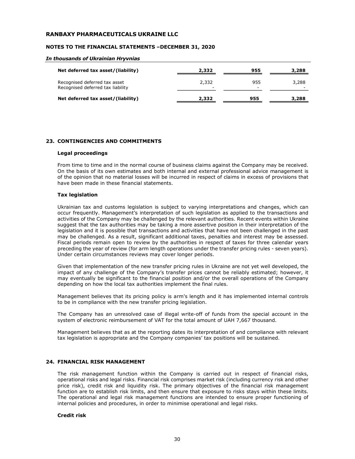#### NOTES TO THE FINANCIAL STATEMENTS –DECEMBER 31, 2020

#### In thousands of Ukrainian Hryvnias

| Net deferred tax asset/(liability)                                 | 2,332                             | 955 | 3,288 |
|--------------------------------------------------------------------|-----------------------------------|-----|-------|
| Recognised deferred tax asset<br>Recognised deferred tax liability | 2,332<br>$\overline{\phantom{a}}$ | 955 | 3,288 |
| Net deferred tax asset/(liability)                                 | 2,332                             | 955 | 3,288 |

# 23. CONTINGENCIES AND COMMITMENTS

#### Legal proceedings

From time to time and in the normal course of business claims against the Company may be received. On the basis of its own estimates and both internal and external professional advice management is of the opinion that no material losses will be incurred in respect of claims in excess of provisions that have been made in these financial statements.

#### Tax legislation

Ukrainian tax and customs legislation is subject to varying interpretations and changes, which can occur frequently. Management's interpretation of such legislation as applied to the transactions and activities of the Company may be challenged by the relevant authorities. Recent events within Ukraine suggest that the tax authorities may be taking a more assertive position in their interpretation of the legislation and it is possible that transactions and activities that have not been challenged in the past may be challenged. As a result, significant additional taxes, penalties and interest may be assessed. Fiscal periods remain open to review by the authorities in respect of taxes for three calendar years preceding the year of review (for arm length operations under the transfer pricing rules - seven years). Under certain circumstances reviews may cover longer periods.

Given that implementation of the new transfer pricing rules in Ukraine are not yet well developed, the impact of any challenge of the Company's transfer prices cannot be reliably estimated; however, it may eventually be significant to the financial position and/or the overall operations of the Company depending on how the local tax authorities implement the final rules.

Management believes that its pricing policy is arm's length and it has implemented internal controls to be in compliance with the new transfer pricing legislation.

The Company has an unresolved case of illegal write-off of funds from the special account in the system of electronic reimbursement of VAT for the total amount of UAH 7,667 thousand.

Management believes that as at the reporting dates its interpretation of and compliance with relevant tax legislation is appropriate and the Company companies' tax positions will be sustained.

# 24. FINANCIAL RISK MANAGEMENT

The risk management function within the Company is carried out in respect of financial risks, operational risks and legal risks. Financial risk comprises market risk (including currency risk and other price risk), credit risk and liquidity risk. The primary objectives of the financial risk management function are to establish risk limits, and then ensure that exposure to risks stays within these limits. The operational and legal risk management functions are intended to ensure proper functioning of internal policies and procedures, in order to minimise operational and legal risks.

#### Credit risk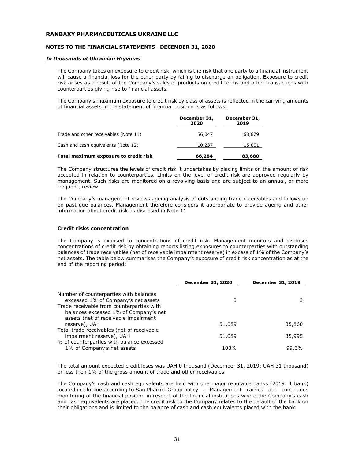# NOTES TO THE FINANCIAL STATEMENTS –DECEMBER 31, 2020

#### In thousands of Ukrainian Hryvnias

The Company takes on exposure to credit risk, which is the risk that one party to a financial instrument will cause a financial loss for the other party by failing to discharge an obligation. Exposure to credit risk arises as a result of the Company's sales of products on credit terms and other transactions with counterparties giving rise to financial assets.

The Company's maximum exposure to credit risk by class of assets is reflected in the carrying amounts of financial assets in the statement of financial position is as follows:

|                                       | December 31,<br>2020 | December 31,<br>2019 |
|---------------------------------------|----------------------|----------------------|
| Trade and other receivables (Note 11) | 56,047               | 68,679               |
| Cash and cash equivalents (Note 12)   | 10,237               | 15,001               |
| Total maximum exposure to credit risk | 66,284               | 83,680               |

The Company structures the levels of credit risk it undertakes by placing limits on the amount of risk accepted in relation to counterparties. Limits on the level of credit risk are approved regularly by management. Such risks are monitored on a revolving basis and are subject to an annual, or more frequent, review.

The Company's management reviews ageing analysis of outstanding trade receivables and follows up on past due balances. Management therefore considers it appropriate to provide ageing and other information about credit risk as disclosed in Note 11

# Credit risks concentration

The Company is exposed to concentrations of credit risk. Management monitors and discloses concentrations of credit risk by obtaining reports listing exposures to counterparties with outstanding balances of trade receivables (net of receivable impairment reserve) in excess of 1% of the Company's net assets. The table below summarises the Company's exposure of credit risk concentration as at the end of the reporting period:

|                                                                                                                            | <b>December 31, 2020</b> | December 31, 2019 |
|----------------------------------------------------------------------------------------------------------------------------|--------------------------|-------------------|
| Number of counterparties with balances<br>excessed 1% of Company's net assets                                              | 3                        |                   |
| Trade receivable from counterparties with<br>balances excessed 1% of Company's net<br>assets (net of receivable impairment |                          |                   |
| reserve), UAH                                                                                                              | 51,089                   | 35,860            |
| Total trade receivables (net of receivable<br>impairment reserve), UAH<br>% of counterparties with balance excessed        | 51,089                   | 35,995            |
| 1% of Company's net assets                                                                                                 | 100%                     | 99,6%             |

The total amount expected credit loses was UAH 0 thousand (December 31, 2019: UAH 31 thousand) or less then 1% of the gross amount of trade and other receivables.

The Company's cash and cash equivalents are held with one major reputable banks (2019: 1 bank) located in Ukraine according to San Pharma Group policy . Management carries out continuous monitoring of the financial position in respect of the financial institutions where the Company's cash and cash equivalents are placed. The credit risk to the Company relates to the default of the bank on their obligations and is limited to the balance of cash and cash equivalents placed with the bank.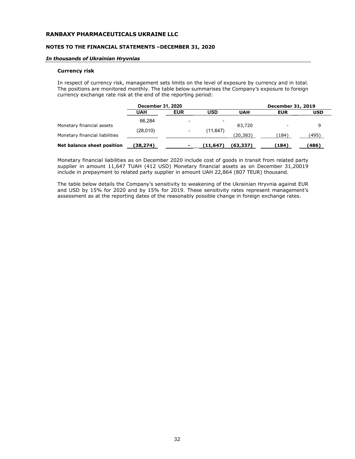#### NOTES TO THE FINANCIAL STATEMENTS –DECEMBER 31, 2020

#### In thousands of Ukrainian Hryvnias

#### Currency risk

In respect of currency risk, management sets limits on the level of exposure by currency and in total. The positions are monitored monthly. The table below summarises the Company's exposure to foreign currency exchange rate risk at the end of the reporting period:

|                                | December 31, 2020 |            |                          | December 31, 2019 |            |            |
|--------------------------------|-------------------|------------|--------------------------|-------------------|------------|------------|
|                                | UAH               | <b>EUR</b> | <b>USD</b>               | <b>UAH</b>        | <b>EUR</b> | <b>USD</b> |
| Monetary financial assets      | 66.284            |            | $\overline{\phantom{0}}$ | 83,720            |            | 9          |
|                                | (28,010)          |            | (11, 647)                |                   |            |            |
| Monetary financial liabilities |                   |            |                          | (20, 383)         | 〔184〕      | (495)      |
| Net balance sheet position     | (38,274)          |            | (11,647)                 | (63,337)          | (184)      | (486)      |

Monetary financial liabilities as on December 2020 include cost of goods in transit from related party supplier in amount 11,647 TUAH (412 USD) Monetary financial assets as on December 31,20019 include in prepayment to related party supplier in amount UAH 22,864 (807 TEUR) thousand.

The table below details the Company's sensitivity to weakening of the Ukrainian Hryvnia against EUR and USD by 15% for 2020 and by 15% for 2019. These sensitivity rates represent management's assessment as at the reporting dates of the reasonably possible change in foreign exchange rates.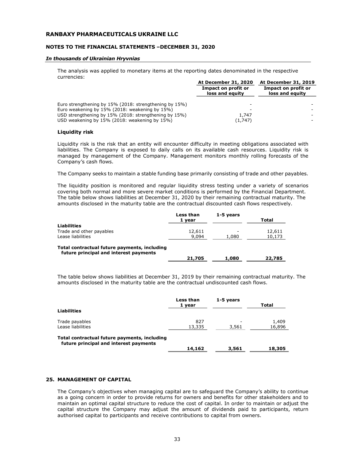#### NOTES TO THE FINANCIAL STATEMENTS –DECEMBER 31, 2020

#### In thousands of Ukrainian Hryvnias

The analysis was applied to monetary items at the reporting dates denominated in the respective currencies:

|                                                        | At December 31, 2020                   | At December 31, 2019                   |  |
|--------------------------------------------------------|----------------------------------------|----------------------------------------|--|
|                                                        | Impact on profit or<br>loss and equity | Impact on profit or<br>loss and equity |  |
|                                                        |                                        |                                        |  |
| Euro strengthening by 15% (2018: strengthening by 15%) |                                        |                                        |  |
| Euro weakening by 15% (2018: weakening by 15%)         |                                        |                                        |  |
| USD strengthening by 15% (2018: strengthening by 15%)  | 1.747                                  |                                        |  |
| USD weakening by 15% (2018: weakening by 15%)          | (1,747)                                |                                        |  |

#### Liquidity risk

Liquidity risk is the risk that an entity will encounter difficulty in meeting obligations associated with liabilities. The Company is exposed to daily calls on its available cash resources. Liquidity risk is managed by management of the Company. Management monitors monthly rolling forecasts of the Company's cash flows.

The Company seeks to maintain a stable funding base primarily consisting of trade and other payables.

The liquidity position is monitored and regular liquidity stress testing under a variety of scenarios covering both normal and more severe market conditions is performed by the Financial Department. The table below shows liabilities at December 31, 2020 by their remaining contractual maturity. The amounts disclosed in the maturity table are the contractual discounted cash flows respectively.

|                                                                                        | Less than<br>1 year | 1-5 years | Total  |
|----------------------------------------------------------------------------------------|---------------------|-----------|--------|
| <b>Liabilities</b>                                                                     |                     |           |        |
| Trade and other payables                                                               | 12,611              |           | 12,611 |
| Lease liabilities                                                                      | 9,094               | 1,080     | 10,173 |
| Total contractual future payments, including<br>future principal and interest payments | 21,705              | 1,080     | 22,785 |

The table below shows liabilities at December 31, 2019 by their remaining contractual maturity. The amounts disclosed in the maturity table are the contractual undiscounted cash flows.

|                                                                                        | Less than<br>1 vear | 1-5 years | Total           |
|----------------------------------------------------------------------------------------|---------------------|-----------|-----------------|
| <b>Liabilities</b>                                                                     |                     |           |                 |
| Trade payables<br>Lease liabilities                                                    | 827<br>13,335       | 3,561     | 1,409<br>16,896 |
| Total contractual future payments, including<br>future principal and interest payments | 14,162              |           |                 |
|                                                                                        |                     | 3,561     | 18,305          |

#### 25. MANAGEMENT OF CAPITAL

The Company's objectives when managing capital are to safeguard the Company's ability to continue as a going concern in order to provide returns for owners and benefits for other stakeholders and to maintain an optimal capital structure to reduce the cost of capital. In order to maintain or adjust the capital structure the Company may adjust the amount of dividends paid to participants, return authorised capital to participants and receive contributions to capital from owners.